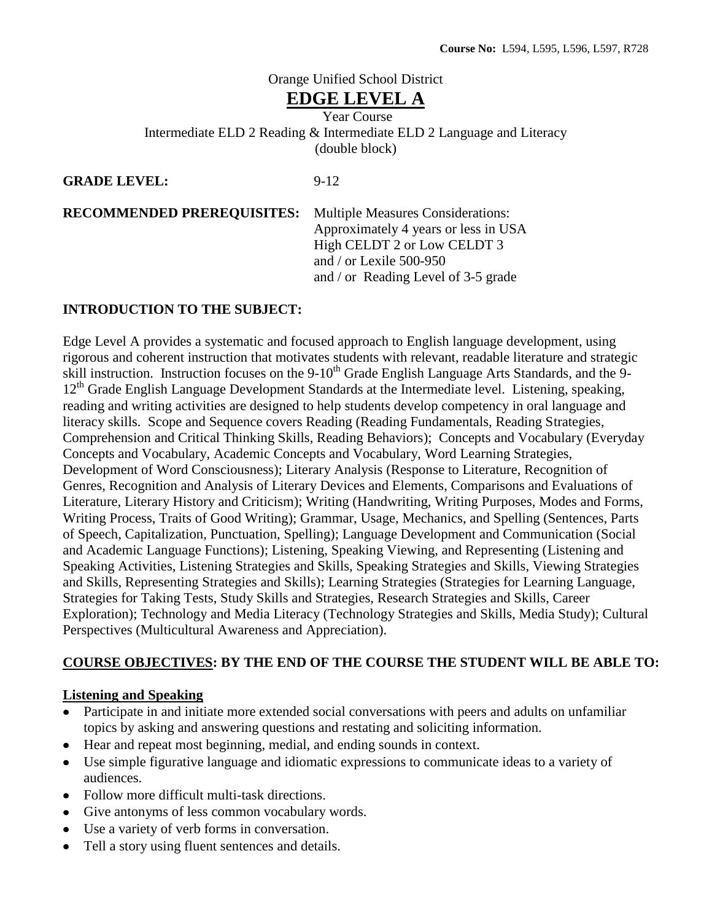# Orange Unified School District

# **EDGE LEVEL A**

Year Course Intermediate ELD 2 Reading & Intermediate ELD 2 Language and Literacy (double block)

**GRADE LEVEL:** 9-12

**RECOMMENDED PREREQUISITES:** Multiple Measures Considerations:

Approximately 4 years or less in USA High CELDT 2 or Low CELDT 3 and / or Lexile 500-950 and / or Reading Level of 3-5 grade

## **INTRODUCTION TO THE SUBJECT:**

Edge Level A provides a systematic and focused approach to English language development, using rigorous and coherent instruction that motivates students with relevant, readable literature and strategic skill instruction. Instruction focuses on the 9-10<sup>th</sup> Grade English Language Arts Standards, and the 9- $12<sup>th</sup>$  Grade English Language Development Standards at the Intermediate level. Listening, speaking, reading and writing activities are designed to help students develop competency in oral language and literacy skills. Scope and Sequence covers Reading (Reading Fundamentals, Reading Strategies, Comprehension and Critical Thinking Skills, Reading Behaviors); Concepts and Vocabulary (Everyday Concepts and Vocabulary, Academic Concepts and Vocabulary, Word Learning Strategies, Development of Word Consciousness); Literary Analysis (Response to Literature, Recognition of Genres, Recognition and Analysis of Literary Devices and Elements, Comparisons and Evaluations of Literature, Literary History and Criticism); Writing (Handwriting, Writing Purposes, Modes and Forms, Writing Process, Traits of Good Writing); Grammar, Usage, Mechanics, and Spelling (Sentences, Parts of Speech, Capitalization, Punctuation, Spelling); Language Development and Communication (Social and Academic Language Functions); Listening, Speaking Viewing, and Representing (Listening and Speaking Activities, Listening Strategies and Skills, Speaking Strategies and Skills, Viewing Strategies and Skills, Representing Strategies and Skills); Learning Strategies (Strategies for Learning Language, Strategies for Taking Tests, Study Skills and Strategies, Research Strategies and Skills, Career Exploration); Technology and Media Literacy (Technology Strategies and Skills, Media Study); Cultural Perspectives (Multicultural Awareness and Appreciation).

# **COURSE OBJECTIVES: BY THE END OF THE COURSE THE STUDENT WILL BE ABLE TO:**

### **Listening and Speaking**

- Participate in and initiate more extended social conversations with peers and adults on unfamiliar topics by asking and answering questions and restating and soliciting information.
- Hear and repeat most beginning, medial, and ending sounds in context.
- Use simple figurative language and idiomatic expressions to communicate ideas to a variety of audiences.
- Follow more difficult multi-task directions.
- Give antonyms of less common vocabulary words.
- Use a variety of verb forms in conversation.
- Tell a story using fluent sentences and details.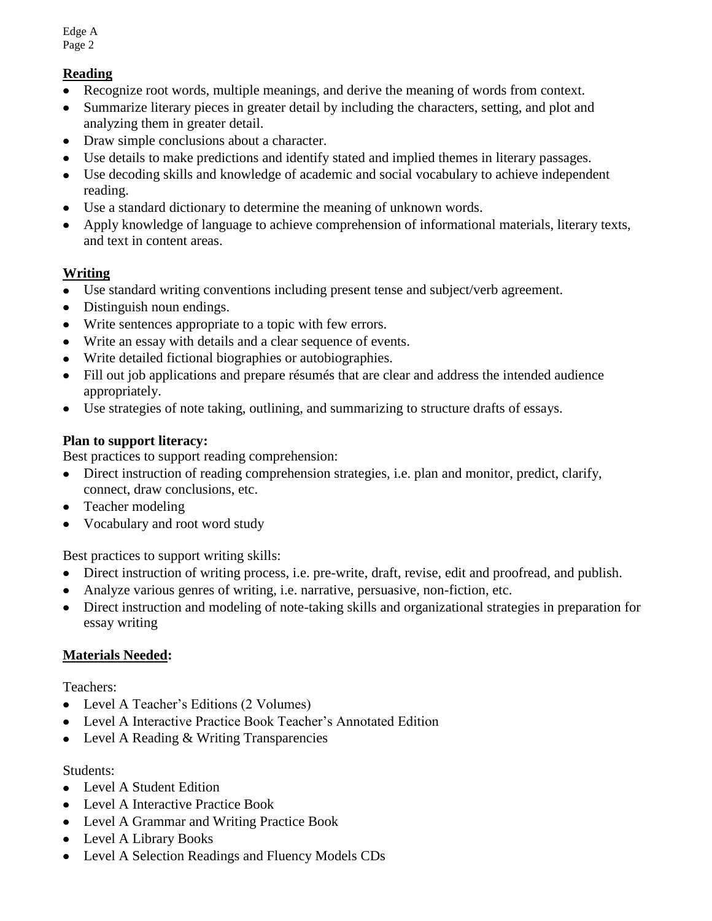# **Reading**

- Recognize root words, multiple meanings, and derive the meaning of words from context.  $\bullet$
- Summarize literary pieces in greater detail by including the characters, setting, and plot and  $\bullet$ analyzing them in greater detail.
- Draw simple conclusions about a character.
- Use details to make predictions and identify stated and implied themes in literary passages.  $\bullet$
- Use decoding skills and knowledge of academic and social vocabulary to achieve independent reading.
- Use a standard dictionary to determine the meaning of unknown words.
- Apply knowledge of language to achieve comprehension of informational materials, literary texts,  $\bullet$ and text in content areas.

# **Writing**

- Use standard writing conventions including present tense and subject/verb agreement.
- Distinguish noun endings.
- Write sentences appropriate to a topic with few errors.
- Write an essay with details and a clear sequence of events.  $\bullet$
- Write detailed fictional biographies or autobiographies.
- Fill out job applications and prepare résumés that are clear and address the intended audience  $\bullet$ appropriately.
- Use strategies of note taking, outlining, and summarizing to structure drafts of essays.  $\bullet$

## **Plan to support literacy:**

Best practices to support reading comprehension:

- Direct instruction of reading comprehension strategies, i.e. plan and monitor, predict, clarify, connect, draw conclusions, etc.
- Teacher modeling
- Vocabulary and root word study

Best practices to support writing skills:

- Direct instruction of writing process, i.e. pre-write, draft, revise, edit and proofread, and publish.
- Analyze various genres of writing, i.e. narrative, persuasive, non-fiction, etc.
- Direct instruction and modeling of note-taking skills and organizational strategies in preparation for essay writing

# **Materials Needed:**

Teachers:

- Level A Teacher's Editions (2 Volumes)
- Level A Interactive Practice Book Teacher's Annotated Edition
- Level A Reading & Writing Transparencies

### Students:

- Level A Student Edition
- Level A Interactive Practice Book
- Level A Grammar and Writing Practice Book
- Level A Library Books
- Level A Selection Readings and Fluency Models CDs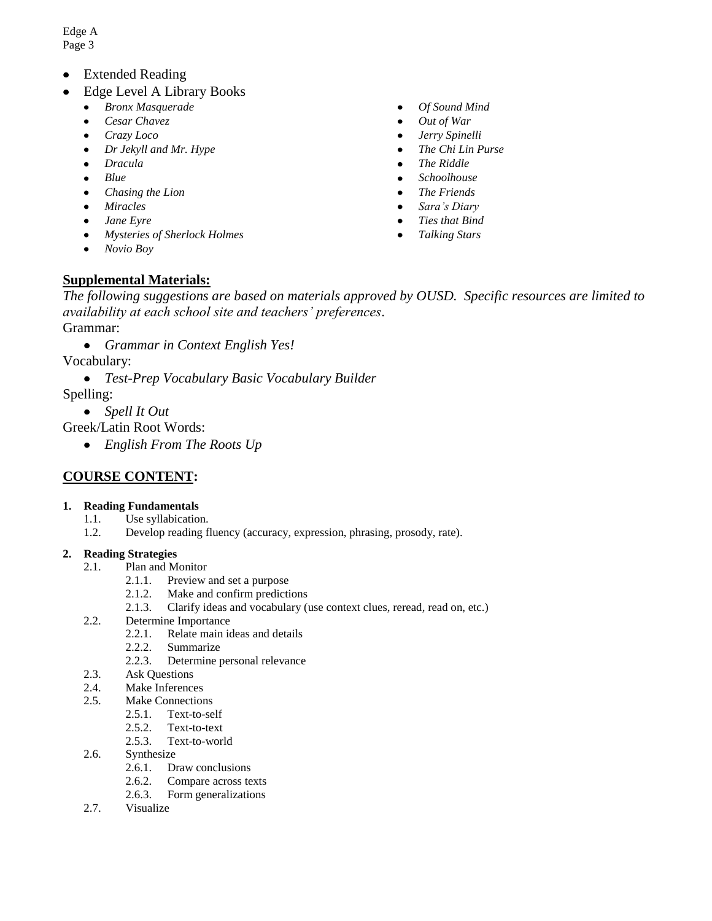- Extended Reading
- Edge Level A Library Books
	- *Bronx Masquerade*  $\bullet$
	- *Cesar Chavez*  $\bullet$
	- *Crazy Loco*
	- *Dr Jekyll and Mr. Hype*  $\bullet$
	- $\bullet$ *Dracula*
	- *Blue*
	- *Chasing the Lion*  $\bullet$
	- *Miracles*
	- *Jane Eyre*  $\bullet$
	- *Mysteries of Sherlock Holmes*
	- $\bullet$ *Novio Boy*

## **Supplemental Materials:**

*The following suggestions are based on materials approved by OUSD. Specific resources are limited to availability at each school site and teachers' preferences*.

Grammar:

 $\bullet$ *Grammar in Context English Yes!*

Vocabulary:

 $\bullet$ *Test-Prep Vocabulary Basic Vocabulary Builder*

Spelling:

*Spell It Out*

Greek/Latin Root Words:

*English From The Roots Up*

### **COURSE CONTENT:**

#### **1. Reading Fundamentals**

- 1.1. Use syllabication.
- 1.2. Develop reading fluency (accuracy, expression, phrasing, prosody, rate).

#### **2. Reading Strategies**

- 2.1. Plan and Monitor
	- 2.1.1. Preview and set a purpose
	- 2.1.2. Make and confirm predictions
	- 2.1.3. Clarify ideas and vocabulary (use context clues, reread, read on, etc.)
- 2.2. Determine Importance
	- 2.2.1. Relate main ideas and details
	- 2.2.2. Summarize
		- 2.2.3. Determine personal relevance
- 2.3. Ask Questions
- 2.4. Make Inferences
- 2.5. Make Connections
	- 2.5.1. Text-to-self
	- 2.5.2. Text-to-text
	- 2.5.3. Text-to-world
- 2.6. Synthesize
	- 2.6.1. Draw conclusions<br>2.6.2. Compare across te
	- Compare across texts
	- 2.6.3. Form generalizations
- 2.7. Visualize
- $\bullet$ *Of Sound Mind*
- *Out of War*  $\bullet$
- *Jerry Spinelli*
- *The Chi Lin Purse*  $\bullet$
- $\bullet$ *The Riddle*
- *Schoolhouse*
- *The Friends*
- *Sara's Diary*
- *Ties that Bind*
- *Talking Stars*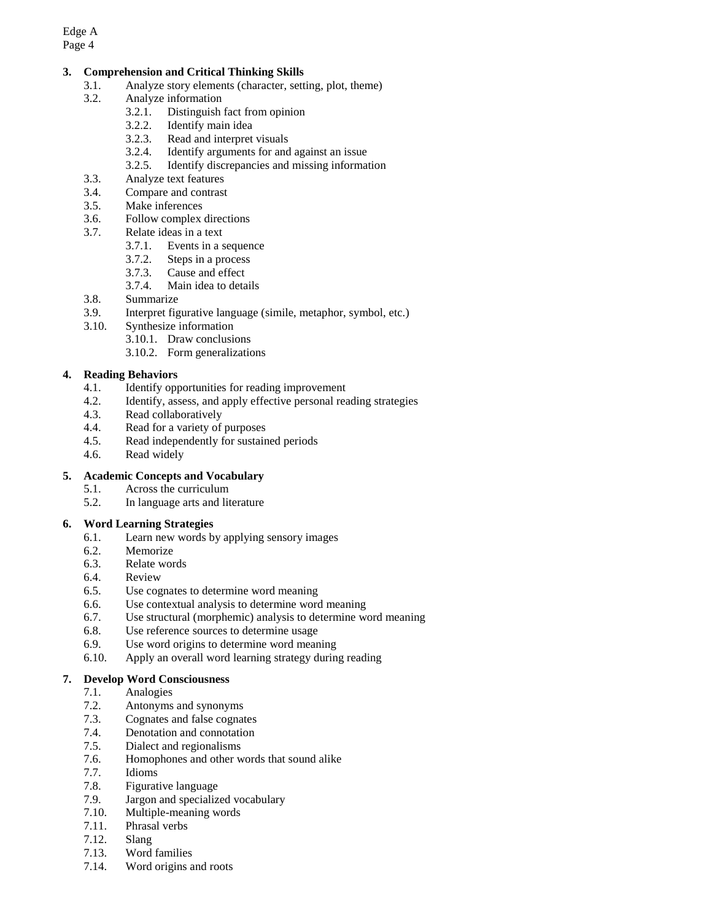#### **3. Comprehension and Critical Thinking Skills**

- 3.1. Analyze story elements (character, setting, plot, theme)
- 3.2. Analyze information
	- 3.2.1. Distinguish fact from opinion
	- 3.2.2. Identify main idea
	- 3.2.3. Read and interpret visuals
	- 3.2.4. Identify arguments for and against an issue
	- 3.2.5. Identify discrepancies and missing information
- 3.3. Analyze text features
- 3.4. Compare and contrast
- 3.5. Make inferences
- 3.6. Follow complex directions
- 3.7. Relate ideas in a text
	- 3.7.1. Events in a sequence
	- 3.7.2. Steps in a process
	- 3.7.3. Cause and effect
	- 3.7.4. Main idea to details
- 3.8. Summarize
- 3.9. Interpret figurative language (simile, metaphor, symbol, etc.)
- 3.10. Synthesize information
	- 3.10.1. Draw conclusions
		- 3.10.2. Form generalizations

#### **4. Reading Behaviors**

- 4.1. Identify opportunities for reading improvement
- 4.2. Identify, assess, and apply effective personal reading strategies
- 4.3. Read collaboratively
- 4.4. Read for a variety of purposes
- 4.5. Read independently for sustained periods
- 4.6. Read widely

#### **5. Academic Concepts and Vocabulary**

- 5.1. Across the curriculum
- 5.2. In language arts and literature

#### **6. Word Learning Strategies**

- 6.1. Learn new words by applying sensory images
- 6.2. Memorize
- 6.3. Relate words
- 6.4. Review
- 6.5. Use cognates to determine word meaning
- 6.6. Use contextual analysis to determine word meaning
- 6.7. Use structural (morphemic) analysis to determine word meaning
- 6.8. Use reference sources to determine usage
- 6.9. Use word origins to determine word meaning
- 6.10. Apply an overall word learning strategy during reading

#### **7. Develop Word Consciousness**

- 7.1. Analogies
- 7.2. Antonyms and synonyms
- 7.3. Cognates and false cognates
- 7.4. Denotation and connotation
- 7.5. Dialect and regionalisms
- 7.6. Homophones and other words that sound alike
- 7.7. Idioms
- 7.8. Figurative language
- 7.9. Jargon and specialized vocabulary
- 7.10. Multiple-meaning words
- 7.11. Phrasal verbs
- 7.12. Slang
- 7.13. Word families
- 7.14. Word origins and roots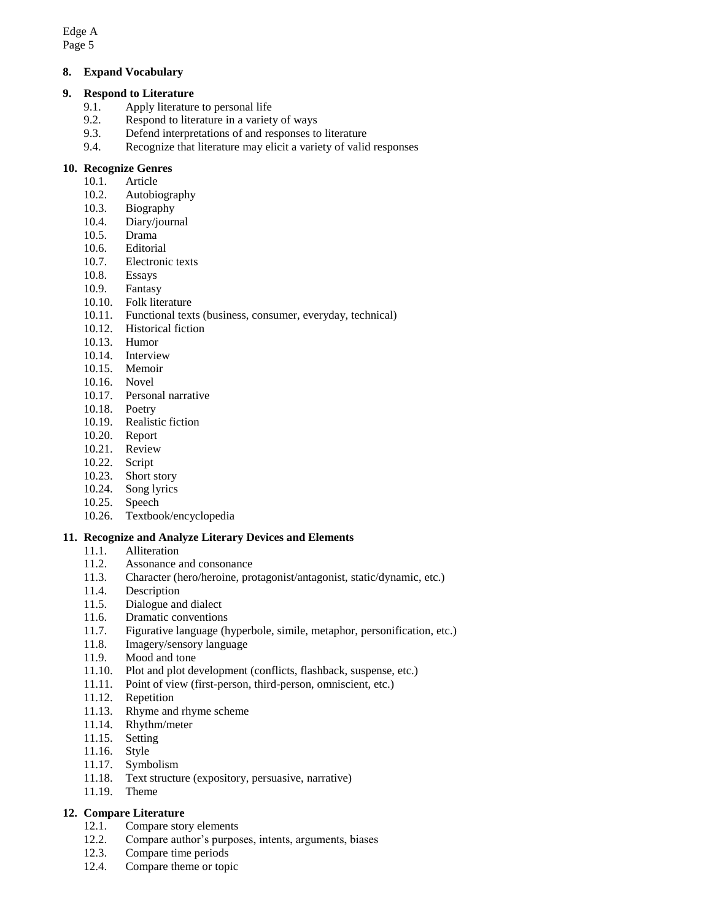#### **8. Expand Vocabulary**

#### **9. Respond to Literature**

- 9.1. Apply literature to personal life
- 9.2. Respond to literature in a variety of ways
- 9.3. Defend interpretations of and responses to literature
- 9.4. Recognize that literature may elicit a variety of valid responses

#### **10. Recognize Genres**

- 10.1. Article
- 10.2. Autobiography
- 10.3. Biography
- 10.4. Diary/journal
- 10.5. Drama
- 10.6. Editorial
- 10.7. Electronic texts
- 10.8. Essays
- 10.9. Fantasy
- 10.10. Folk literature
- 10.11. Functional texts (business, consumer, everyday, technical)
- 10.12. Historical fiction
- 10.13. Humor
- 10.14. Interview
- 10.15. Memoir
- 10.16. Novel
- 10.17. Personal narrative
- 10.18. Poetry
- 10.19. Realistic fiction
- 10.20. Report
- 10.21. Review
- 10.22. Script
- 10.23. Short story
- 10.24. Song lyrics
- 10.25. Speech
- 10.26. Textbook/encyclopedia

#### **11. Recognize and Analyze Literary Devices and Elements**

- 11.1. Alliteration<br>11.2. Assonance a
- Assonance and consonance
- 11.3. Character (hero/heroine, protagonist/antagonist, static/dynamic, etc.)
- 11.4. Description
- 11.5. Dialogue and dialect
- 11.6. Dramatic conventions
- 11.7. Figurative language (hyperbole, simile, metaphor, personification, etc.)
- 11.8. Imagery/sensory language
- 11.9. Mood and tone
- 11.10. Plot and plot development (conflicts, flashback, suspense, etc.)
- 11.11. Point of view (first-person, third-person, omniscient, etc.)
- 11.12. Repetition
- 11.13. Rhyme and rhyme scheme
- 11.14. Rhythm/meter
- 11.15. Setting
- 11.16. Style
- 11.17. Symbolism
- 11.18. Text structure (expository, persuasive, narrative)
- 11.19. Theme

#### **12. Compare Literature**

- 12.1. Compare story elements
- 12.2. Compare author's purposes, intents, arguments, biases
- 12.3. Compare time periods
- 12.4. Compare theme or topic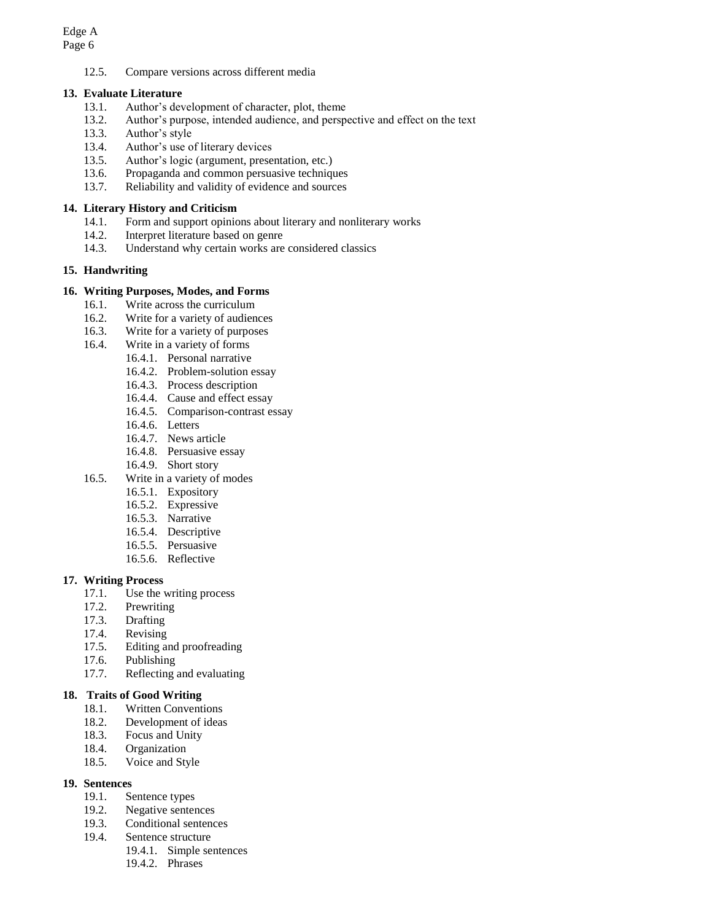12.5. Compare versions across different media

#### **13. Evaluate Literature**

- 13.1. Author's development of character, plot, theme
- 13.2. Author's purpose, intended audience, and perspective and effect on the text
- 13.3. Author's style
- 13.4. Author's use of literary devices
- 13.5. Author's logic (argument, presentation, etc.)
- 13.6. Propaganda and common persuasive techniques
- 13.7. Reliability and validity of evidence and sources

#### **14. Literary History and Criticism**

- 14.1. Form and support opinions about literary and nonliterary works
- 14.2. Interpret literature based on genre
- 14.3. Understand why certain works are considered classics

#### **15. Handwriting**

#### **16. Writing Purposes, Modes, and Forms**

- 16.1. Write across the curriculum
- 16.2. Write for a variety of audiences
- 16.3. Write for a variety of purposes
- 16.4. Write in a variety of forms
	- 16.4.1. Personal narrative
		- 16.4.2. Problem-solution essay
		- 16.4.3. Process description
		- 16.4.4. Cause and effect essay
		- 16.4.5. Comparison-contrast essay
		- 16.4.6. Letters
		- 16.4.7. News article
		- 16.4.8. Persuasive essay
		- 16.4.9. Short story
- 16.5. Write in a variety of modes
	- 16.5.1. Expository
	- 16.5.2. Expressive
	- 16.5.3. Narrative
	- 16.5.4. Descriptive
	- 16.5.5. Persuasive
	- 16.5.6. Reflective

#### **17. Writing Process**

- 17.1. Use the writing process
- 17.2. Prewriting
- 17.3. Drafting
- 17.4. Revising
- 17.5. Editing and proofreading
- 17.6. Publishing
- 17.7. Reflecting and evaluating

#### **18. Traits of Good Writing**

- 18.1. Written Conventions
- 18.2. Development of ideas
- 18.3. Focus and Unity
- 18.4. Organization
- 18.5. Voice and Style

#### **19. Sentences**

- 19.1. Sentence types
- 19.2. Negative sentences
- 19.3. Conditional sentences
- 19.4. Sentence structure
	- 19.4.1. Simple sentences
		- 19.4.2. Phrases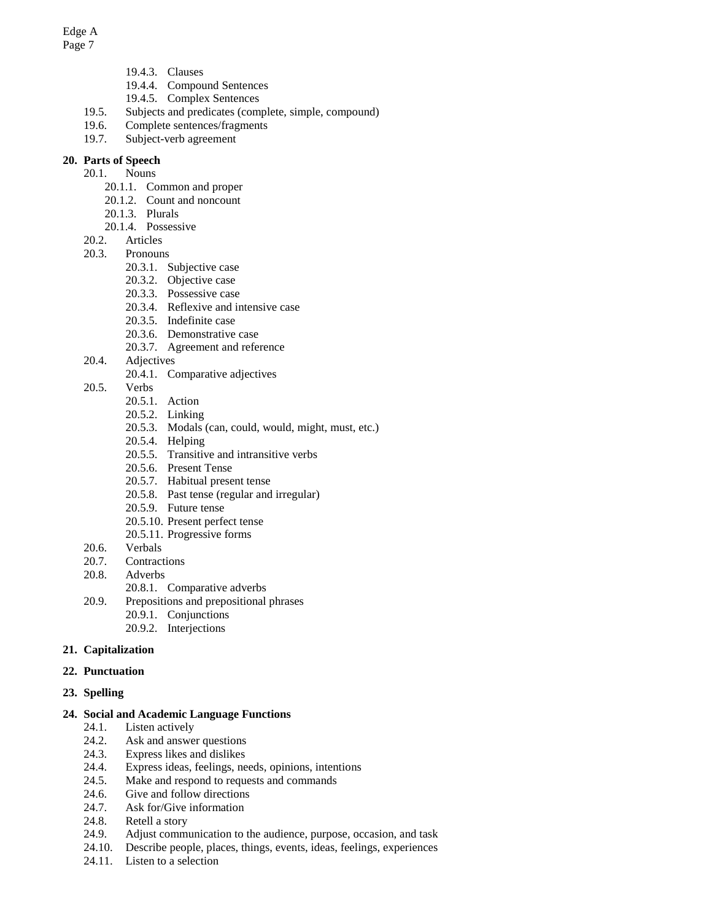Edge A

- Page 7
- 19.4.3. Clauses
- 19.4.4. Compound Sentences
- 19.4.5. Complex Sentences
- 19.5. Subjects and predicates (complete, simple, compound)
- 19.6. Complete sentences/fragments
- 19.7. Subject-verb agreement

### **20. Parts of Speech**

- 20.1. Nouns
	- 20.1.1. Common and proper
	- 20.1.2. Count and noncount
	- 20.1.3. Plurals
	- 20.1.4. Possessive
- 20.2. Articles
- 20.3. Pronouns
	- 20.3.1. Subjective case
	- 20.3.2. Objective case
	- 20.3.3. Possessive case
	- 20.3.4. Reflexive and intensive case
	- 20.3.5. Indefinite case
	- 20.3.6. Demonstrative case
	- 20.3.7. Agreement and reference
- 20.4. Adjectives
	- 20.4.1. Comparative adjectives
- 20.5. Verbs
	- 20.5.1. Action
	- 20.5.2. Linking
	- 20.5.3. Modals (can, could, would, might, must, etc.)
	- 20.5.4. Helping
	- 20.5.5. Transitive and intransitive verbs
	- 20.5.6. Present Tense
	- 20.5.7. Habitual present tense
	- 20.5.8. Past tense (regular and irregular)
	- 20.5.9. Future tense
	- 20.5.10. Present perfect tense
	- 20.5.11. Progressive forms
- 20.6. Verbals
- 20.7. Contractions
- 20.8. Adverbs
	- 20.8.1. Comparative adverbs
- 20.9. Prepositions and prepositional phrases
	- 20.9.1. Conjunctions
	- 20.9.2. Interjections

#### **21. Capitalization**

**22. Punctuation**

#### **23. Spelling**

#### **24. Social and Academic Language Functions**

- 24.1. Listen actively
- 24.2. Ask and answer questions
- 24.3. Express likes and dislikes
- 24.4. Express ideas, feelings, needs, opinions, intentions
- 24.5. Make and respond to requests and commands
- 24.6. Give and follow directions
- 24.7. Ask for/Give information
- 24.8. Retell a story
- 24.9. Adjust communication to the audience, purpose, occasion, and task
- 24.10. Describe people, places, things, events, ideas, feelings, experiences
- 24.11. Listen to a selection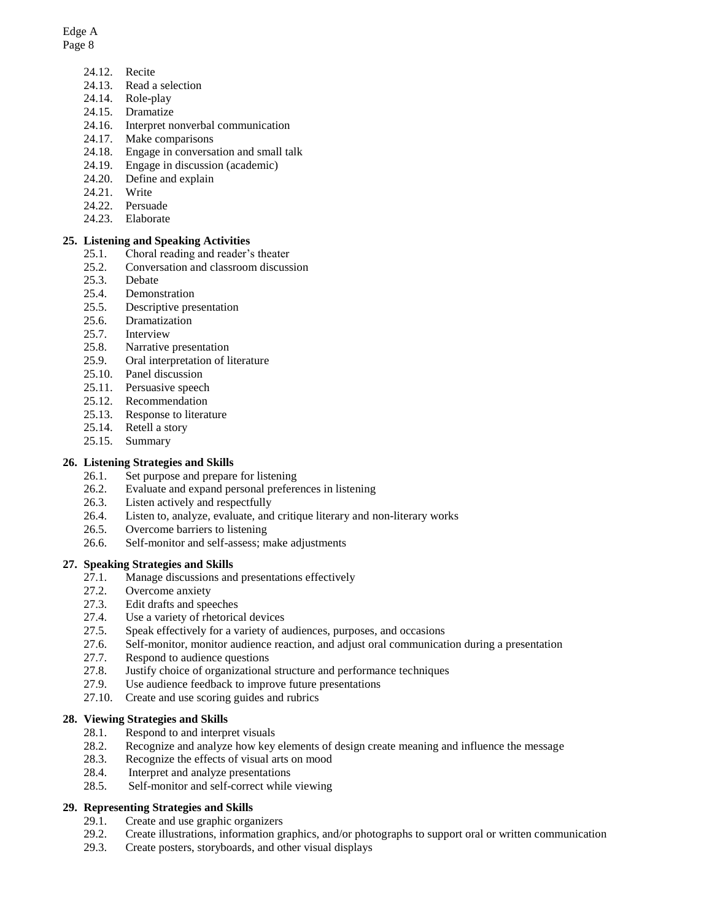# Edge A

#### Page 8

- 24.12. Recite
- 24.13. Read a selection
- 24.14. Role-play
- 24.15. Dramatize
- 24.16. Interpret nonverbal communication
- 24.17. Make comparisons
- 24.18. Engage in conversation and small talk
- 24.19. Engage in discussion (academic)
- 24.20. Define and explain
- 24.21. Write
- 24.22. Persuade
- 24.23. Elaborate

#### **25. Listening and Speaking Activities**

- 25.1. Choral reading and reader's theater
- 25.2. Conversation and classroom discussion
- 25.3. Debate
- 25.4. Demonstration
- 25.5. Descriptive presentation
- 25.6. Dramatization
- 25.7. Interview
- 25.8. Narrative presentation
- 25.9. Oral interpretation of literature
- 25.10. Panel discussion
- 25.11. Persuasive speech
- 25.12. Recommendation
- 25.13. Response to literature
- 25.14. Retell a story
- 25.15. Summary

#### **26. Listening Strategies and Skills**

- 26.1. Set purpose and prepare for listening
- 26.2. Evaluate and expand personal preferences in listening
- 26.3. Listen actively and respectfully
- 26.4. Listen to, analyze, evaluate, and critique literary and non-literary works
- 26.5. Overcome barriers to listening
- 26.6. Self-monitor and self-assess; make adjustments

#### **27. Speaking Strategies and Skills**

- 27.1. Manage discussions and presentations effectively
- 27.2. Overcome anxiety
- 27.3. Edit drafts and speeches
- 27.4. Use a variety of rhetorical devices
- 27.5. Speak effectively for a variety of audiences, purposes, and occasions
- 27.6. Self-monitor, monitor audience reaction, and adjust oral communication during a presentation
- 27.7. Respond to audience questions
- 27.8. Justify choice of organizational structure and performance techniques
- 27.9. Use audience feedback to improve future presentations
- 27.10. Create and use scoring guides and rubrics

#### **28. Viewing Strategies and Skills**

- 28.1. Respond to and interpret visuals
- 28.2. Recognize and analyze how key elements of design create meaning and influence the message
- 28.3. Recognize the effects of visual arts on mood
- 28.4. Interpret and analyze presentations
- 28.5. Self-monitor and self-correct while viewing

#### **29. Representing Strategies and Skills**

- 29.1. Create and use graphic organizers
- 29.2. Create illustrations, information graphics, and/or photographs to support oral or written communication
- 29.3. Create posters, storyboards, and other visual displays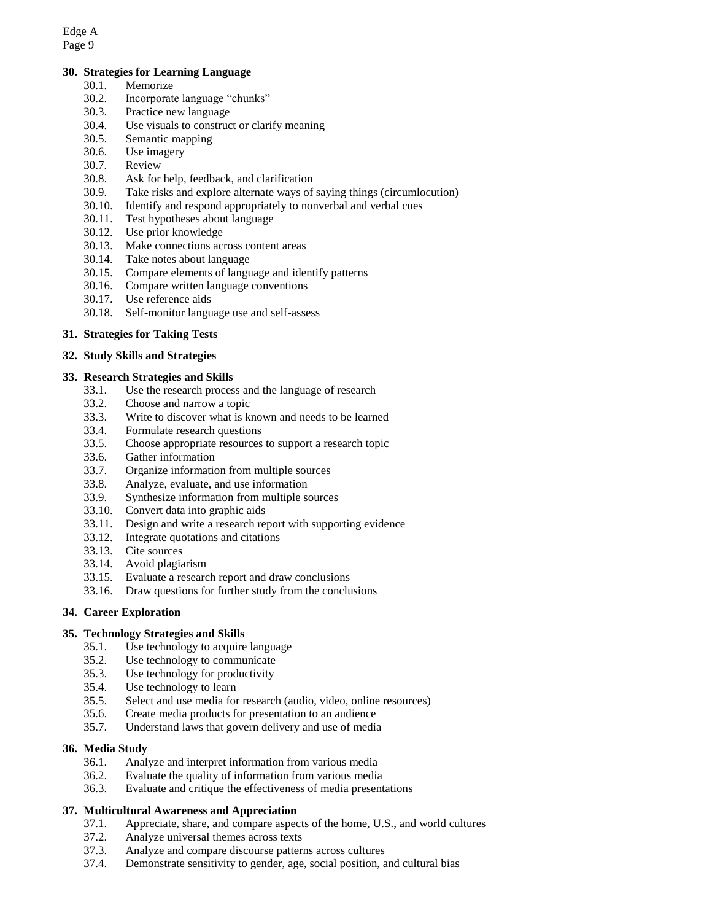#### **30. Strategies for Learning Language**

- 30.1. Memorize
- 30.2. Incorporate language "chunks"
- 30.3. Practice new language
- 30.4. Use visuals to construct or clarify meaning
- 30.5. Semantic mapping
- 30.6. Use imagery
- 30.7. Review
- 30.8. Ask for help, feedback, and clarification
- 30.9. Take risks and explore alternate ways of saying things (circumlocution)
- 30.10. Identify and respond appropriately to nonverbal and verbal cues
- 30.11. Test hypotheses about language
- 30.12. Use prior knowledge
- 30.13. Make connections across content areas
- 30.14. Take notes about language
- 30.15. Compare elements of language and identify patterns
- 30.16. Compare written language conventions
- 30.17. Use reference aids
- 30.18. Self-monitor language use and self-assess

#### **31. Strategies for Taking Tests**

#### **32. Study Skills and Strategies**

#### **33. Research Strategies and Skills**

- 33.1. Use the research process and the language of research
- 33.2. Choose and narrow a topic
- 33.3. Write to discover what is known and needs to be learned
- 33.4. Formulate research questions
- 33.5. Choose appropriate resources to support a research topic
- 33.6. Gather information
- 33.7. Organize information from multiple sources
- 33.8. Analyze, evaluate, and use information
- 33.9. Synthesize information from multiple sources
- 33.10. Convert data into graphic aids
- 33.11. Design and write a research report with supporting evidence
- 33.12. Integrate quotations and citations
- 33.13. Cite sources
- 33.14. Avoid plagiarism
- 33.15. Evaluate a research report and draw conclusions
- 33.16. Draw questions for further study from the conclusions

#### **34. Career Exploration**

#### **35. Technology Strategies and Skills**

- 35.1. Use technology to acquire language
- 35.2. Use technology to communicate
- 35.3. Use technology for productivity
- 35.4. Use technology to learn
- 35.5. Select and use media for research (audio, video, online resources)
- 35.6. Create media products for presentation to an audience
- 35.7. Understand laws that govern delivery and use of media

#### **36. Media Study**

- 36.1. Analyze and interpret information from various media
- 36.2. Evaluate the quality of information from various media
- 36.3. Evaluate and critique the effectiveness of media presentations

#### **37. Multicultural Awareness and Appreciation**

- 37.1. Appreciate, share, and compare aspects of the home, U.S., and world cultures
- 37.2. Analyze universal themes across texts
- 37.3. Analyze and compare discourse patterns across cultures
- 37.4. Demonstrate sensitivity to gender, age, social position, and cultural bias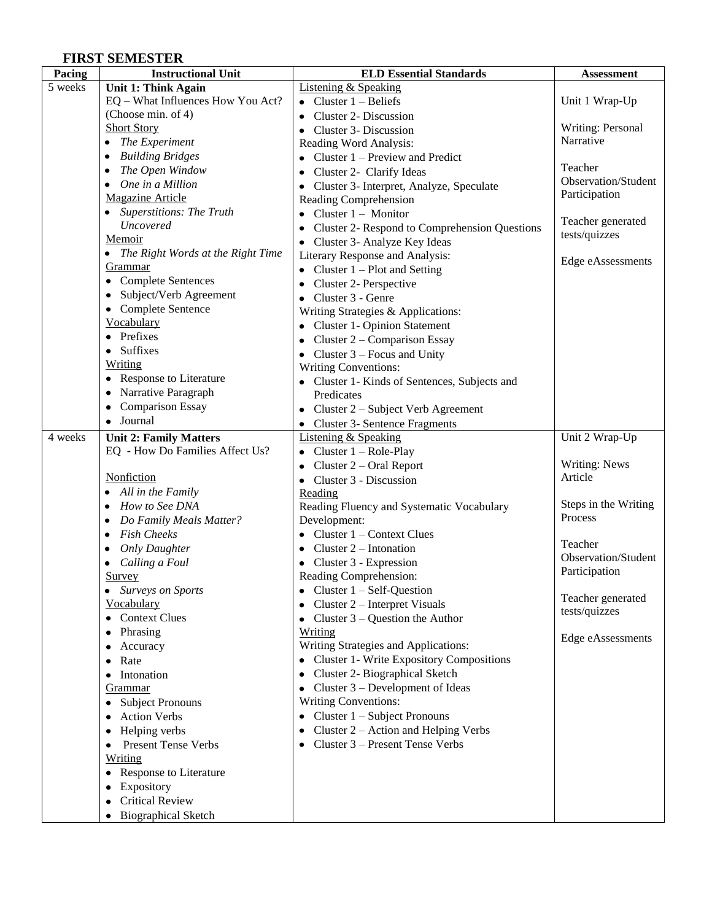### **FIRST SEMESTER**

| Pacing  | <b>Instructional Unit</b>           | <b>ELD Essential Standards</b>                     | <b>Assessment</b>    |
|---------|-------------------------------------|----------------------------------------------------|----------------------|
| 5 weeks | <b>Unit 1: Think Again</b>          | <b>Listening &amp; Speaking</b>                    |                      |
|         | EQ - What Influences How You Act?   | • Cluster $1 -$ Beliefs                            | Unit 1 Wrap-Up       |
|         | (Choose min. of 4)                  | <b>Cluster 2- Discussion</b>                       |                      |
|         | <b>Short Story</b>                  | Cluster 3- Discussion                              | Writing: Personal    |
|         | $\bullet$ The Experiment            | Reading Word Analysis:                             | Narrative            |
|         | <b>Building Bridges</b>             | Cluster 1 – Preview and Predict                    |                      |
|         | The Open Window                     | Cluster 2- Clarify Ideas<br>٠                      | Teacher              |
|         | One in a Million<br>٠               | Cluster 3- Interpret, Analyze, Speculate<br>٠      | Observation/Student  |
|         | <b>Magazine Article</b>             | Reading Comprehension                              | Participation        |
|         | • Superstitions: The Truth          | Cluster $1 -$ Monitor<br>٠                         |                      |
|         | Uncovered                           | Cluster 2- Respond to Comprehension Questions<br>٠ | Teacher generated    |
|         | Memoir                              | Cluster 3- Analyze Key Ideas                       | tests/quizzes        |
|         | • The Right Words at the Right Time | Literary Response and Analysis:                    |                      |
|         | Grammar                             | Cluster $1 -$ Plot and Setting<br>٠                | Edge eAssessments    |
|         | • Complete Sentences                | Cluster 2- Perspective<br>٠                        |                      |
|         | Subject/Verb Agreement<br>٠         | Cluster 3 - Genre<br>$\bullet$                     |                      |
|         | • Complete Sentence                 | Writing Strategies & Applications:                 |                      |
|         | <b>Vocabulary</b>                   | Cluster 1- Opinion Statement<br>٠                  |                      |
|         | Prefixes                            | Cluster 2 - Comparison Essay<br>٠                  |                      |
|         | • Suffixes                          | Cluster $3$ – Focus and Unity<br>$\bullet$         |                      |
|         | Writing                             | <b>Writing Conventions:</b>                        |                      |
|         | • Response to Literature            | Cluster 1- Kinds of Sentences, Subjects and        |                      |
|         | Narrative Paragraph                 | Predicates                                         |                      |
|         | <b>Comparison Essay</b>             | Cluster 2 – Subject Verb Agreement                 |                      |
|         | • Journal                           | Cluster 3- Sentence Fragments                      |                      |
| 4 weeks | <b>Unit 2: Family Matters</b>       | <b>Listening &amp; Speaking</b>                    | Unit 2 Wrap-Up       |
|         | EQ - How Do Families Affect Us?     | Cluster $1 - \text{Role-Play}$<br>٠                |                      |
|         |                                     | Cluster 2 – Oral Report<br>٠                       | <b>Writing: News</b> |
|         | Nonfiction                          | Cluster 3 - Discussion<br>$\bullet$                | Article              |
|         | • All in the Family                 | Reading                                            |                      |
|         | • How to See DNA                    | Reading Fluency and Systematic Vocabulary          | Steps in the Writing |
|         | Do Family Meals Matter?<br>٠        | Development:                                       | Process              |
|         | <b>Fish Cheeks</b>                  | Cluster 1 – Context Clues                          |                      |
|         | <b>Only Daughter</b><br>٠           | Cluster $2$ – Intonation<br>٠                      | Teacher              |
|         | Calling a Foul<br>٠                 | Cluster 3 - Expression                             | Observation/Student  |
|         | <u>Survey</u>                       | Reading Comprehension:                             | Participation        |
|         | Surveys on Sports                   | Cluster 1 - Self-Question                          | Teacher generated    |
|         | Vocabulary                          | Cluster 2 – Interpret Visuals<br>٠                 | tests/quizzes        |
|         | • Context Clues                     | Cluster $3$ – Question the Author<br>$\bullet$     |                      |
|         | • Phrasing                          | Writing                                            | Edge eAssessments    |
|         | Accuracy<br>٠                       | Writing Strategies and Applications:               |                      |
|         | Rate<br>٠                           | <b>Cluster 1- Write Expository Compositions</b>    |                      |
|         | Intonation                          | Cluster 2- Biographical Sketch<br>٠                |                      |
|         | <b>Grammar</b>                      | Cluster 3 – Development of Ideas<br>$\bullet$      |                      |
|         | • Subject Pronouns                  | <b>Writing Conventions:</b>                        |                      |
|         | <b>Action Verbs</b><br>٠            | Cluster 1 - Subject Pronouns<br>٠                  |                      |
|         | • Helping verbs                     | Cluster 2 – Action and Helping Verbs<br>٠          |                      |
|         | <b>Present Tense Verbs</b>          | Cluster 3 - Present Tense Verbs                    |                      |
|         | Writing                             |                                                    |                      |
|         | • Response to Literature            |                                                    |                      |
|         | Expository                          |                                                    |                      |
|         | <b>Critical Review</b>              |                                                    |                      |
|         | <b>Biographical Sketch</b>          |                                                    |                      |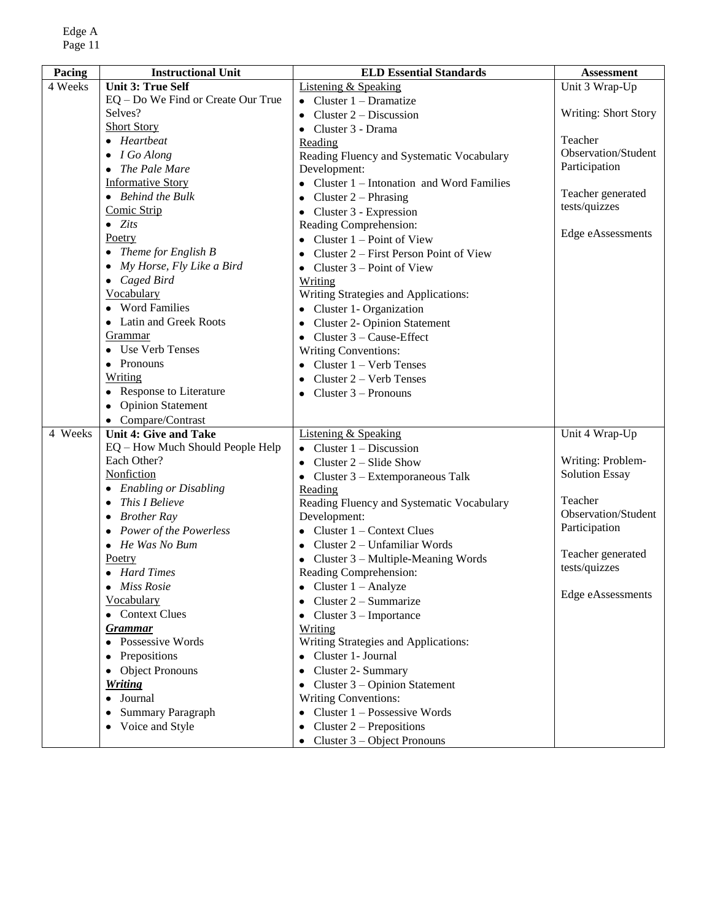| Pacing  | <b>Instructional Unit</b>          | <b>ELD Essential Standards</b>            | <b>Assessment</b>           |
|---------|------------------------------------|-------------------------------------------|-----------------------------|
| 4 Weeks | <b>Unit 3: True Self</b>           | Listening & Speaking                      | Unit 3 Wrap-Up              |
|         | EQ - Do We Find or Create Our True | Cluster $1 - Dramatize$                   |                             |
|         | Selves?                            | Cluster $2 -$ Discussion                  | <b>Writing: Short Story</b> |
|         | <b>Short Story</b>                 | Cluster 3 - Drama                         |                             |
|         | $\bullet$ Heartbeat                | Reading                                   | Teacher                     |
|         | $\bullet$ I Go Along               | Reading Fluency and Systematic Vocabulary | Observation/Student         |
|         | • The Pale Mare                    | Development:                              | Participation               |
|         | <b>Informative Story</b>           | Cluster 1 - Intonation and Word Families  |                             |
|         | $\bullet$ Behind the Bulk          | Cluster $2$ – Phrasing                    | Teacher generated           |
|         | Comic Strip                        | Cluster 3 - Expression                    | tests/quizzes               |
|         | $\bullet$ Zits                     | Reading Comprehension:                    |                             |
|         | Poetry                             | Cluster 1 – Point of View                 | Edge eAssessments           |
|         | • Theme for English $B$            | Cluster 2 – First Person Point of View    |                             |
|         | • My Horse, Fly Like a Bird        | Cluster $3 -$ Point of View               |                             |
|         | $\bullet$ Caged Bird               | Writing                                   |                             |
|         | Vocabulary                         | Writing Strategies and Applications:      |                             |
|         | • Word Families                    | Cluster 1- Organization                   |                             |
|         | • Latin and Greek Roots            | <b>Cluster 2- Opinion Statement</b>       |                             |
|         | Grammar                            | Cluster 3 - Cause-Effect                  |                             |
|         | • Use Verb Tenses                  | <b>Writing Conventions:</b>               |                             |
|         | • Pronouns                         | Cluster 1 - Verb Tenses                   |                             |
|         | Writing                            | Cluster 2 - Verb Tenses                   |                             |
|         | • Response to Literature           | Cluster $3 -$ Pronouns                    |                             |
|         | • Opinion Statement                |                                           |                             |
|         | • Compare/Contrast                 |                                           |                             |
| 4 Weeks | <b>Unit 4: Give and Take</b>       | <b>Listening &amp; Speaking</b>           | Unit 4 Wrap-Up              |
|         | EQ - How Much Should People Help   | Cluster $1 -$ Discussion                  |                             |
|         | Each Other?                        | Cluster 2 – Slide Show                    | Writing: Problem-           |
|         | Nonfiction                         | • Cluster $3 -$ Extemporaneous Talk       | <b>Solution Essay</b>       |
|         | • Enabling or Disabling            | Reading                                   |                             |
|         | $\bullet$ This I Believe           | Reading Fluency and Systematic Vocabulary | Teacher                     |
|         | $\bullet$ Brother Ray              | Development:                              | Observation/Student         |
|         | • Power of the Powerless           | • Cluster $1$ – Context Clues             | Participation               |
|         | $\bullet$ He Was No Bum            | Cluster 2 – Unfamiliar Words              | Teacher generated           |
|         | Poetry                             | • Cluster 3 - Multiple-Meaning Words      | tests/quizzes               |
|         | • Hard Times                       | Reading Comprehension:                    |                             |
|         | <b>Miss Rosie</b>                  | Cluster $1 -$ Analyze                     | Edge eAssessments           |
|         | Vocabulary                         | Cluster 2 – Summarize                     |                             |
|         | • Context Clues                    | Cluster $3$ – Importance                  |                             |
|         | <b>Grammar</b>                     | Writing                                   |                             |
|         | • Possessive Words                 | Writing Strategies and Applications:      |                             |
|         | • Prepositions                     | • Cluster 1- Journal                      |                             |
|         | • Object Pronouns                  | Cluster 2- Summary<br>٠                   |                             |
|         | <b>Writing</b>                     | Cluster 3 – Opinion Statement             |                             |
|         | • Journal                          | <b>Writing Conventions:</b>               |                             |
|         | • Summary Paragraph                | Cluster $1 -$ Possessive Words            |                             |
|         | • Voice and Style                  | Cluster $2$ – Prepositions<br>٠           |                             |
|         |                                    | Cluster 3 – Object Pronouns               |                             |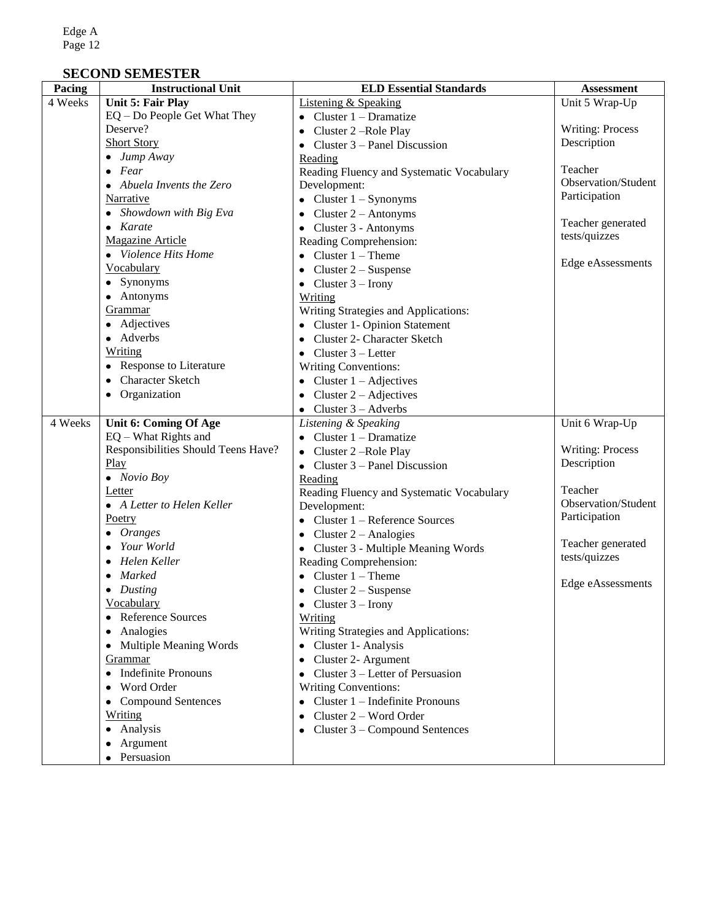## **SECOND SEMESTER**

| <b>Listening &amp; Speaking</b><br>4 Weeks<br><b>Unit 5: Fair Play</b><br>Unit 5 Wrap-Up<br>EQ - Do People Get What They<br>Cluster $1 - Dramatize$<br>Deserve?<br><b>Writing: Process</b><br>Cluster 2-Role Play<br><b>Short Story</b><br>Description<br>Cluster 3 – Panel Discussion<br>$\bullet$ Jump Away<br>Reading<br>Teacher<br>$\bullet$ Fear<br>Reading Fluency and Systematic Vocabulary<br>Observation/Student<br>Development:<br>• Abuela Invents the Zero<br>Participation<br>Narrative<br>Cluster $1 -$ Synonyms<br>• Showdown with Big Eva<br>Cluster $2 -$ Antonyms<br>٠<br>Teacher generated<br>$\bullet$ Karate<br>Cluster 3 - Antonyms<br>tests/quizzes<br><b>Magazine Article</b><br>Reading Comprehension:<br>• Violence Hits Home<br>Cluster $1 -$ Theme<br>Edge eAssessments<br>Vocabulary<br>Cluster $2 -$ Suspense<br>$\bullet$<br>• Synonyms<br>• Cluster $3$ – Irony<br>• Antonyms<br>Writing<br>Grammar<br>Writing Strategies and Applications:<br>• Adjectives<br><b>Cluster 1- Opinion Statement</b><br>• Adverbs<br>Cluster 2- Character Sketch<br>$\bullet$<br>Writing<br>Cluster $3$ – Letter<br>$\bullet$<br>• Response to Literature<br>Writing Conventions:<br>• Character Sketch<br>Cluster $1 - \text{Adjectives}$<br>• Organization<br>Cluster $2 - \text{Adjectives}$<br>٠<br>Cluster $3 -$ Adverbs<br>$\bullet$<br>4 Weeks<br>Listening & Speaking<br>Unit 6 Wrap-Up<br>Unit 6: Coming Of Age<br>$EQ - What Rights and$<br>Cluster $1 - Dramatize$<br>Responsibilities Should Teens Have?<br><b>Writing: Process</b><br>Cluster 2-Role Play<br>Play<br>Description<br>Cluster 3 – Panel Discussion<br>$\bullet$ Novio Boy<br>Reading<br>Teacher<br>Letter<br>Reading Fluency and Systematic Vocabulary<br>Observation/Student<br>• A Letter to Helen Keller<br>Development:<br>Participation<br>Poetry<br>Cluster 1 – Reference Sources<br>$\bullet$<br>$\bullet$ Oranges<br>Cluster $2 -$ Analogies<br>$\bullet$<br>Teacher generated<br>Your World<br>Cluster 3 - Multiple Meaning Words<br>tests/quizzes<br>Helen Keller<br>Reading Comprehension:<br>Marked<br>• Cluster $1 -$ Theme<br>Edge eAssessments<br>$\bullet$ Dusting<br>• Cluster $2 -$ Suspense<br>Vocabulary<br>• Cluster $3$ – Irony<br>• Reference Sources<br>Writing<br>Writing Strategies and Applications:<br>• Analogies<br>• Multiple Meaning Words<br>• Cluster 1- Analysis<br>Cluster 2- Argument<br>Grammar<br>$\bullet$<br>• Indefinite Pronouns<br>Cluster 3 – Letter of Persuasion<br>$\bullet$<br>• Word Order<br>Writing Conventions:<br>Cluster 1 – Indefinite Pronouns<br>• Compound Sentences<br>٠<br>Writing<br>Cluster 2 – Word Order<br>٠<br>• Analysis<br>Cluster 3 – Compound Sentences<br>• Argument | $\overline{\text{Pacing}}$ | <b>Instructional Unit</b> | <b>ELD Essential Standards</b> | <b>Assessment</b> |
|---------------------------------------------------------------------------------------------------------------------------------------------------------------------------------------------------------------------------------------------------------------------------------------------------------------------------------------------------------------------------------------------------------------------------------------------------------------------------------------------------------------------------------------------------------------------------------------------------------------------------------------------------------------------------------------------------------------------------------------------------------------------------------------------------------------------------------------------------------------------------------------------------------------------------------------------------------------------------------------------------------------------------------------------------------------------------------------------------------------------------------------------------------------------------------------------------------------------------------------------------------------------------------------------------------------------------------------------------------------------------------------------------------------------------------------------------------------------------------------------------------------------------------------------------------------------------------------------------------------------------------------------------------------------------------------------------------------------------------------------------------------------------------------------------------------------------------------------------------------------------------------------------------------------------------------------------------------------------------------------------------------------------------------------------------------------------------------------------------------------------------------------------------------------------------------------------------------------------------------------------------------------------------------------------------------------------------------------------------------------------------------------------------------------------------------------------------------------------------------------------------------------------------------------------------------------------------------------------------------------------------------------------------------------------------------------------------------------------------------|----------------------------|---------------------------|--------------------------------|-------------------|
|                                                                                                                                                                                                                                                                                                                                                                                                                                                                                                                                                                                                                                                                                                                                                                                                                                                                                                                                                                                                                                                                                                                                                                                                                                                                                                                                                                                                                                                                                                                                                                                                                                                                                                                                                                                                                                                                                                                                                                                                                                                                                                                                                                                                                                                                                                                                                                                                                                                                                                                                                                                                                                                                                                                                       |                            |                           |                                |                   |
|                                                                                                                                                                                                                                                                                                                                                                                                                                                                                                                                                                                                                                                                                                                                                                                                                                                                                                                                                                                                                                                                                                                                                                                                                                                                                                                                                                                                                                                                                                                                                                                                                                                                                                                                                                                                                                                                                                                                                                                                                                                                                                                                                                                                                                                                                                                                                                                                                                                                                                                                                                                                                                                                                                                                       |                            |                           |                                |                   |
|                                                                                                                                                                                                                                                                                                                                                                                                                                                                                                                                                                                                                                                                                                                                                                                                                                                                                                                                                                                                                                                                                                                                                                                                                                                                                                                                                                                                                                                                                                                                                                                                                                                                                                                                                                                                                                                                                                                                                                                                                                                                                                                                                                                                                                                                                                                                                                                                                                                                                                                                                                                                                                                                                                                                       |                            |                           |                                |                   |
|                                                                                                                                                                                                                                                                                                                                                                                                                                                                                                                                                                                                                                                                                                                                                                                                                                                                                                                                                                                                                                                                                                                                                                                                                                                                                                                                                                                                                                                                                                                                                                                                                                                                                                                                                                                                                                                                                                                                                                                                                                                                                                                                                                                                                                                                                                                                                                                                                                                                                                                                                                                                                                                                                                                                       |                            |                           |                                |                   |
|                                                                                                                                                                                                                                                                                                                                                                                                                                                                                                                                                                                                                                                                                                                                                                                                                                                                                                                                                                                                                                                                                                                                                                                                                                                                                                                                                                                                                                                                                                                                                                                                                                                                                                                                                                                                                                                                                                                                                                                                                                                                                                                                                                                                                                                                                                                                                                                                                                                                                                                                                                                                                                                                                                                                       |                            |                           |                                |                   |
|                                                                                                                                                                                                                                                                                                                                                                                                                                                                                                                                                                                                                                                                                                                                                                                                                                                                                                                                                                                                                                                                                                                                                                                                                                                                                                                                                                                                                                                                                                                                                                                                                                                                                                                                                                                                                                                                                                                                                                                                                                                                                                                                                                                                                                                                                                                                                                                                                                                                                                                                                                                                                                                                                                                                       |                            |                           |                                |                   |
|                                                                                                                                                                                                                                                                                                                                                                                                                                                                                                                                                                                                                                                                                                                                                                                                                                                                                                                                                                                                                                                                                                                                                                                                                                                                                                                                                                                                                                                                                                                                                                                                                                                                                                                                                                                                                                                                                                                                                                                                                                                                                                                                                                                                                                                                                                                                                                                                                                                                                                                                                                                                                                                                                                                                       |                            |                           |                                |                   |
|                                                                                                                                                                                                                                                                                                                                                                                                                                                                                                                                                                                                                                                                                                                                                                                                                                                                                                                                                                                                                                                                                                                                                                                                                                                                                                                                                                                                                                                                                                                                                                                                                                                                                                                                                                                                                                                                                                                                                                                                                                                                                                                                                                                                                                                                                                                                                                                                                                                                                                                                                                                                                                                                                                                                       |                            |                           |                                |                   |
|                                                                                                                                                                                                                                                                                                                                                                                                                                                                                                                                                                                                                                                                                                                                                                                                                                                                                                                                                                                                                                                                                                                                                                                                                                                                                                                                                                                                                                                                                                                                                                                                                                                                                                                                                                                                                                                                                                                                                                                                                                                                                                                                                                                                                                                                                                                                                                                                                                                                                                                                                                                                                                                                                                                                       |                            |                           |                                |                   |
|                                                                                                                                                                                                                                                                                                                                                                                                                                                                                                                                                                                                                                                                                                                                                                                                                                                                                                                                                                                                                                                                                                                                                                                                                                                                                                                                                                                                                                                                                                                                                                                                                                                                                                                                                                                                                                                                                                                                                                                                                                                                                                                                                                                                                                                                                                                                                                                                                                                                                                                                                                                                                                                                                                                                       |                            |                           |                                |                   |
|                                                                                                                                                                                                                                                                                                                                                                                                                                                                                                                                                                                                                                                                                                                                                                                                                                                                                                                                                                                                                                                                                                                                                                                                                                                                                                                                                                                                                                                                                                                                                                                                                                                                                                                                                                                                                                                                                                                                                                                                                                                                                                                                                                                                                                                                                                                                                                                                                                                                                                                                                                                                                                                                                                                                       |                            |                           |                                |                   |
|                                                                                                                                                                                                                                                                                                                                                                                                                                                                                                                                                                                                                                                                                                                                                                                                                                                                                                                                                                                                                                                                                                                                                                                                                                                                                                                                                                                                                                                                                                                                                                                                                                                                                                                                                                                                                                                                                                                                                                                                                                                                                                                                                                                                                                                                                                                                                                                                                                                                                                                                                                                                                                                                                                                                       |                            |                           |                                |                   |
|                                                                                                                                                                                                                                                                                                                                                                                                                                                                                                                                                                                                                                                                                                                                                                                                                                                                                                                                                                                                                                                                                                                                                                                                                                                                                                                                                                                                                                                                                                                                                                                                                                                                                                                                                                                                                                                                                                                                                                                                                                                                                                                                                                                                                                                                                                                                                                                                                                                                                                                                                                                                                                                                                                                                       |                            |                           |                                |                   |
|                                                                                                                                                                                                                                                                                                                                                                                                                                                                                                                                                                                                                                                                                                                                                                                                                                                                                                                                                                                                                                                                                                                                                                                                                                                                                                                                                                                                                                                                                                                                                                                                                                                                                                                                                                                                                                                                                                                                                                                                                                                                                                                                                                                                                                                                                                                                                                                                                                                                                                                                                                                                                                                                                                                                       |                            |                           |                                |                   |
|                                                                                                                                                                                                                                                                                                                                                                                                                                                                                                                                                                                                                                                                                                                                                                                                                                                                                                                                                                                                                                                                                                                                                                                                                                                                                                                                                                                                                                                                                                                                                                                                                                                                                                                                                                                                                                                                                                                                                                                                                                                                                                                                                                                                                                                                                                                                                                                                                                                                                                                                                                                                                                                                                                                                       |                            |                           |                                |                   |
|                                                                                                                                                                                                                                                                                                                                                                                                                                                                                                                                                                                                                                                                                                                                                                                                                                                                                                                                                                                                                                                                                                                                                                                                                                                                                                                                                                                                                                                                                                                                                                                                                                                                                                                                                                                                                                                                                                                                                                                                                                                                                                                                                                                                                                                                                                                                                                                                                                                                                                                                                                                                                                                                                                                                       |                            |                           |                                |                   |
|                                                                                                                                                                                                                                                                                                                                                                                                                                                                                                                                                                                                                                                                                                                                                                                                                                                                                                                                                                                                                                                                                                                                                                                                                                                                                                                                                                                                                                                                                                                                                                                                                                                                                                                                                                                                                                                                                                                                                                                                                                                                                                                                                                                                                                                                                                                                                                                                                                                                                                                                                                                                                                                                                                                                       |                            |                           |                                |                   |
|                                                                                                                                                                                                                                                                                                                                                                                                                                                                                                                                                                                                                                                                                                                                                                                                                                                                                                                                                                                                                                                                                                                                                                                                                                                                                                                                                                                                                                                                                                                                                                                                                                                                                                                                                                                                                                                                                                                                                                                                                                                                                                                                                                                                                                                                                                                                                                                                                                                                                                                                                                                                                                                                                                                                       |                            |                           |                                |                   |
|                                                                                                                                                                                                                                                                                                                                                                                                                                                                                                                                                                                                                                                                                                                                                                                                                                                                                                                                                                                                                                                                                                                                                                                                                                                                                                                                                                                                                                                                                                                                                                                                                                                                                                                                                                                                                                                                                                                                                                                                                                                                                                                                                                                                                                                                                                                                                                                                                                                                                                                                                                                                                                                                                                                                       |                            |                           |                                |                   |
|                                                                                                                                                                                                                                                                                                                                                                                                                                                                                                                                                                                                                                                                                                                                                                                                                                                                                                                                                                                                                                                                                                                                                                                                                                                                                                                                                                                                                                                                                                                                                                                                                                                                                                                                                                                                                                                                                                                                                                                                                                                                                                                                                                                                                                                                                                                                                                                                                                                                                                                                                                                                                                                                                                                                       |                            |                           |                                |                   |
|                                                                                                                                                                                                                                                                                                                                                                                                                                                                                                                                                                                                                                                                                                                                                                                                                                                                                                                                                                                                                                                                                                                                                                                                                                                                                                                                                                                                                                                                                                                                                                                                                                                                                                                                                                                                                                                                                                                                                                                                                                                                                                                                                                                                                                                                                                                                                                                                                                                                                                                                                                                                                                                                                                                                       |                            |                           |                                |                   |
|                                                                                                                                                                                                                                                                                                                                                                                                                                                                                                                                                                                                                                                                                                                                                                                                                                                                                                                                                                                                                                                                                                                                                                                                                                                                                                                                                                                                                                                                                                                                                                                                                                                                                                                                                                                                                                                                                                                                                                                                                                                                                                                                                                                                                                                                                                                                                                                                                                                                                                                                                                                                                                                                                                                                       |                            |                           |                                |                   |
|                                                                                                                                                                                                                                                                                                                                                                                                                                                                                                                                                                                                                                                                                                                                                                                                                                                                                                                                                                                                                                                                                                                                                                                                                                                                                                                                                                                                                                                                                                                                                                                                                                                                                                                                                                                                                                                                                                                                                                                                                                                                                                                                                                                                                                                                                                                                                                                                                                                                                                                                                                                                                                                                                                                                       |                            |                           |                                |                   |
|                                                                                                                                                                                                                                                                                                                                                                                                                                                                                                                                                                                                                                                                                                                                                                                                                                                                                                                                                                                                                                                                                                                                                                                                                                                                                                                                                                                                                                                                                                                                                                                                                                                                                                                                                                                                                                                                                                                                                                                                                                                                                                                                                                                                                                                                                                                                                                                                                                                                                                                                                                                                                                                                                                                                       |                            |                           |                                |                   |
|                                                                                                                                                                                                                                                                                                                                                                                                                                                                                                                                                                                                                                                                                                                                                                                                                                                                                                                                                                                                                                                                                                                                                                                                                                                                                                                                                                                                                                                                                                                                                                                                                                                                                                                                                                                                                                                                                                                                                                                                                                                                                                                                                                                                                                                                                                                                                                                                                                                                                                                                                                                                                                                                                                                                       |                            |                           |                                |                   |
|                                                                                                                                                                                                                                                                                                                                                                                                                                                                                                                                                                                                                                                                                                                                                                                                                                                                                                                                                                                                                                                                                                                                                                                                                                                                                                                                                                                                                                                                                                                                                                                                                                                                                                                                                                                                                                                                                                                                                                                                                                                                                                                                                                                                                                                                                                                                                                                                                                                                                                                                                                                                                                                                                                                                       |                            |                           |                                |                   |
|                                                                                                                                                                                                                                                                                                                                                                                                                                                                                                                                                                                                                                                                                                                                                                                                                                                                                                                                                                                                                                                                                                                                                                                                                                                                                                                                                                                                                                                                                                                                                                                                                                                                                                                                                                                                                                                                                                                                                                                                                                                                                                                                                                                                                                                                                                                                                                                                                                                                                                                                                                                                                                                                                                                                       |                            |                           |                                |                   |
|                                                                                                                                                                                                                                                                                                                                                                                                                                                                                                                                                                                                                                                                                                                                                                                                                                                                                                                                                                                                                                                                                                                                                                                                                                                                                                                                                                                                                                                                                                                                                                                                                                                                                                                                                                                                                                                                                                                                                                                                                                                                                                                                                                                                                                                                                                                                                                                                                                                                                                                                                                                                                                                                                                                                       |                            |                           |                                |                   |
|                                                                                                                                                                                                                                                                                                                                                                                                                                                                                                                                                                                                                                                                                                                                                                                                                                                                                                                                                                                                                                                                                                                                                                                                                                                                                                                                                                                                                                                                                                                                                                                                                                                                                                                                                                                                                                                                                                                                                                                                                                                                                                                                                                                                                                                                                                                                                                                                                                                                                                                                                                                                                                                                                                                                       |                            |                           |                                |                   |
|                                                                                                                                                                                                                                                                                                                                                                                                                                                                                                                                                                                                                                                                                                                                                                                                                                                                                                                                                                                                                                                                                                                                                                                                                                                                                                                                                                                                                                                                                                                                                                                                                                                                                                                                                                                                                                                                                                                                                                                                                                                                                                                                                                                                                                                                                                                                                                                                                                                                                                                                                                                                                                                                                                                                       |                            |                           |                                |                   |
|                                                                                                                                                                                                                                                                                                                                                                                                                                                                                                                                                                                                                                                                                                                                                                                                                                                                                                                                                                                                                                                                                                                                                                                                                                                                                                                                                                                                                                                                                                                                                                                                                                                                                                                                                                                                                                                                                                                                                                                                                                                                                                                                                                                                                                                                                                                                                                                                                                                                                                                                                                                                                                                                                                                                       |                            |                           |                                |                   |
|                                                                                                                                                                                                                                                                                                                                                                                                                                                                                                                                                                                                                                                                                                                                                                                                                                                                                                                                                                                                                                                                                                                                                                                                                                                                                                                                                                                                                                                                                                                                                                                                                                                                                                                                                                                                                                                                                                                                                                                                                                                                                                                                                                                                                                                                                                                                                                                                                                                                                                                                                                                                                                                                                                                                       |                            |                           |                                |                   |
|                                                                                                                                                                                                                                                                                                                                                                                                                                                                                                                                                                                                                                                                                                                                                                                                                                                                                                                                                                                                                                                                                                                                                                                                                                                                                                                                                                                                                                                                                                                                                                                                                                                                                                                                                                                                                                                                                                                                                                                                                                                                                                                                                                                                                                                                                                                                                                                                                                                                                                                                                                                                                                                                                                                                       |                            |                           |                                |                   |
|                                                                                                                                                                                                                                                                                                                                                                                                                                                                                                                                                                                                                                                                                                                                                                                                                                                                                                                                                                                                                                                                                                                                                                                                                                                                                                                                                                                                                                                                                                                                                                                                                                                                                                                                                                                                                                                                                                                                                                                                                                                                                                                                                                                                                                                                                                                                                                                                                                                                                                                                                                                                                                                                                                                                       |                            |                           |                                |                   |
|                                                                                                                                                                                                                                                                                                                                                                                                                                                                                                                                                                                                                                                                                                                                                                                                                                                                                                                                                                                                                                                                                                                                                                                                                                                                                                                                                                                                                                                                                                                                                                                                                                                                                                                                                                                                                                                                                                                                                                                                                                                                                                                                                                                                                                                                                                                                                                                                                                                                                                                                                                                                                                                                                                                                       |                            |                           |                                |                   |
|                                                                                                                                                                                                                                                                                                                                                                                                                                                                                                                                                                                                                                                                                                                                                                                                                                                                                                                                                                                                                                                                                                                                                                                                                                                                                                                                                                                                                                                                                                                                                                                                                                                                                                                                                                                                                                                                                                                                                                                                                                                                                                                                                                                                                                                                                                                                                                                                                                                                                                                                                                                                                                                                                                                                       |                            |                           |                                |                   |
|                                                                                                                                                                                                                                                                                                                                                                                                                                                                                                                                                                                                                                                                                                                                                                                                                                                                                                                                                                                                                                                                                                                                                                                                                                                                                                                                                                                                                                                                                                                                                                                                                                                                                                                                                                                                                                                                                                                                                                                                                                                                                                                                                                                                                                                                                                                                                                                                                                                                                                                                                                                                                                                                                                                                       |                            |                           |                                |                   |
|                                                                                                                                                                                                                                                                                                                                                                                                                                                                                                                                                                                                                                                                                                                                                                                                                                                                                                                                                                                                                                                                                                                                                                                                                                                                                                                                                                                                                                                                                                                                                                                                                                                                                                                                                                                                                                                                                                                                                                                                                                                                                                                                                                                                                                                                                                                                                                                                                                                                                                                                                                                                                                                                                                                                       |                            |                           |                                |                   |
|                                                                                                                                                                                                                                                                                                                                                                                                                                                                                                                                                                                                                                                                                                                                                                                                                                                                                                                                                                                                                                                                                                                                                                                                                                                                                                                                                                                                                                                                                                                                                                                                                                                                                                                                                                                                                                                                                                                                                                                                                                                                                                                                                                                                                                                                                                                                                                                                                                                                                                                                                                                                                                                                                                                                       |                            |                           |                                |                   |
|                                                                                                                                                                                                                                                                                                                                                                                                                                                                                                                                                                                                                                                                                                                                                                                                                                                                                                                                                                                                                                                                                                                                                                                                                                                                                                                                                                                                                                                                                                                                                                                                                                                                                                                                                                                                                                                                                                                                                                                                                                                                                                                                                                                                                                                                                                                                                                                                                                                                                                                                                                                                                                                                                                                                       |                            |                           |                                |                   |
|                                                                                                                                                                                                                                                                                                                                                                                                                                                                                                                                                                                                                                                                                                                                                                                                                                                                                                                                                                                                                                                                                                                                                                                                                                                                                                                                                                                                                                                                                                                                                                                                                                                                                                                                                                                                                                                                                                                                                                                                                                                                                                                                                                                                                                                                                                                                                                                                                                                                                                                                                                                                                                                                                                                                       |                            |                           |                                |                   |
|                                                                                                                                                                                                                                                                                                                                                                                                                                                                                                                                                                                                                                                                                                                                                                                                                                                                                                                                                                                                                                                                                                                                                                                                                                                                                                                                                                                                                                                                                                                                                                                                                                                                                                                                                                                                                                                                                                                                                                                                                                                                                                                                                                                                                                                                                                                                                                                                                                                                                                                                                                                                                                                                                                                                       |                            |                           |                                |                   |
|                                                                                                                                                                                                                                                                                                                                                                                                                                                                                                                                                                                                                                                                                                                                                                                                                                                                                                                                                                                                                                                                                                                                                                                                                                                                                                                                                                                                                                                                                                                                                                                                                                                                                                                                                                                                                                                                                                                                                                                                                                                                                                                                                                                                                                                                                                                                                                                                                                                                                                                                                                                                                                                                                                                                       |                            |                           |                                |                   |
|                                                                                                                                                                                                                                                                                                                                                                                                                                                                                                                                                                                                                                                                                                                                                                                                                                                                                                                                                                                                                                                                                                                                                                                                                                                                                                                                                                                                                                                                                                                                                                                                                                                                                                                                                                                                                                                                                                                                                                                                                                                                                                                                                                                                                                                                                                                                                                                                                                                                                                                                                                                                                                                                                                                                       |                            |                           |                                |                   |
|                                                                                                                                                                                                                                                                                                                                                                                                                                                                                                                                                                                                                                                                                                                                                                                                                                                                                                                                                                                                                                                                                                                                                                                                                                                                                                                                                                                                                                                                                                                                                                                                                                                                                                                                                                                                                                                                                                                                                                                                                                                                                                                                                                                                                                                                                                                                                                                                                                                                                                                                                                                                                                                                                                                                       |                            |                           |                                |                   |
|                                                                                                                                                                                                                                                                                                                                                                                                                                                                                                                                                                                                                                                                                                                                                                                                                                                                                                                                                                                                                                                                                                                                                                                                                                                                                                                                                                                                                                                                                                                                                                                                                                                                                                                                                                                                                                                                                                                                                                                                                                                                                                                                                                                                                                                                                                                                                                                                                                                                                                                                                                                                                                                                                                                                       |                            |                           |                                |                   |
|                                                                                                                                                                                                                                                                                                                                                                                                                                                                                                                                                                                                                                                                                                                                                                                                                                                                                                                                                                                                                                                                                                                                                                                                                                                                                                                                                                                                                                                                                                                                                                                                                                                                                                                                                                                                                                                                                                                                                                                                                                                                                                                                                                                                                                                                                                                                                                                                                                                                                                                                                                                                                                                                                                                                       |                            |                           |                                |                   |
|                                                                                                                                                                                                                                                                                                                                                                                                                                                                                                                                                                                                                                                                                                                                                                                                                                                                                                                                                                                                                                                                                                                                                                                                                                                                                                                                                                                                                                                                                                                                                                                                                                                                                                                                                                                                                                                                                                                                                                                                                                                                                                                                                                                                                                                                                                                                                                                                                                                                                                                                                                                                                                                                                                                                       |                            | • Persuasion              |                                |                   |